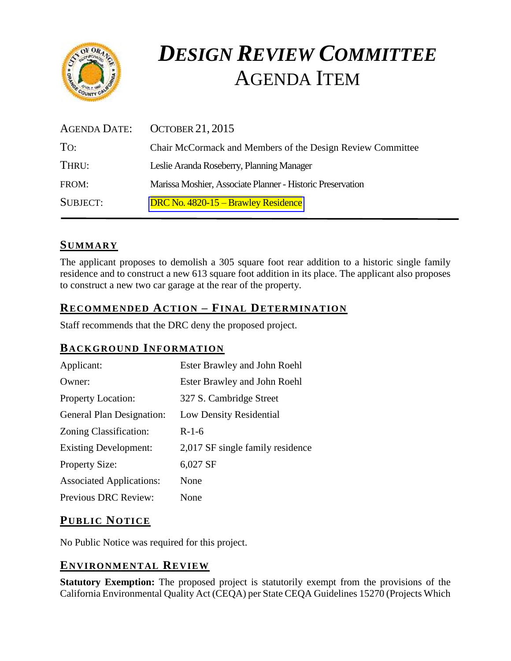

# *DESIGN REVIEW COMMITTEE* AGENDA ITEM

| <b>AGENDA DATE:</b> | <b>OCTOBER 21, 2015</b>                                    |  |
|---------------------|------------------------------------------------------------|--|
| To:                 | Chair McCormack and Members of the Design Review Committee |  |
| THRU:               | Leslie Aranda Roseberry, Planning Manager                  |  |
| FROM:               | Marissa Moshier, Associate Planner - Historic Preservation |  |
| <b>SUBJECT:</b>     | <b>DRC No. 4820-15 – Brawley Residence</b>                 |  |

# **SUMMARY**

The applicant proposes to demolish a 305 square foot rear addition to a historic single family residence and to construct a new 613 square foot addition in its place. The applicant also proposes to construct a new two car garage at the rear of the property.

# **RECOMMENDED ACTION – FINAL DETERMINATION**

Staff recommends that the DRC deny the proposed project.

## **BACKGROUND INFORMATION**

| Applicant:                       | Ester Brawley and John Roehl     |
|----------------------------------|----------------------------------|
| Owner:                           | Ester Brawley and John Roehl     |
| <b>Property Location:</b>        | 327 S. Cambridge Street          |
| <b>General Plan Designation:</b> | Low Density Residential          |
| Zoning Classification:           | $R-1-6$                          |
| <b>Existing Development:</b>     | 2,017 SF single family residence |
| <b>Property Size:</b>            | 6,027 SF                         |
| <b>Associated Applications:</b>  | None                             |
| <b>Previous DRC Review:</b>      | None                             |

# **PUB LIC NOTICE**

No Public Notice was required for this project.

## **ENVIRONMENTAL REVIEW**

**Statutory Exemption:** The proposed project is statutorily exempt from the provisions of the California Environmental Quality Act (CEQA) per State CEQA Guidelines 15270 (Projects Which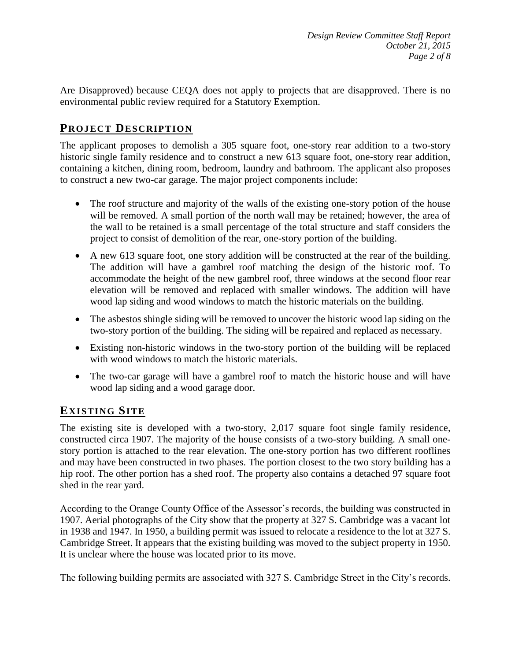Are Disapproved) because CEQA does not apply to projects that are disapproved. There is no environmental public review required for a Statutory Exemption.

### **PROJECT DESCRIP TION**

The applicant proposes to demolish a 305 square foot, one-story rear addition to a two-story historic single family residence and to construct a new 613 square foot, one-story rear addition, containing a kitchen, dining room, bedroom, laundry and bathroom. The applicant also proposes to construct a new two-car garage. The major project components include:

- The roof structure and majority of the walls of the existing one-story potion of the house will be removed. A small portion of the north wall may be retained; however, the area of the wall to be retained is a small percentage of the total structure and staff considers the project to consist of demolition of the rear, one-story portion of the building.
- A new 613 square foot, one story addition will be constructed at the rear of the building. The addition will have a gambrel roof matching the design of the historic roof. To accommodate the height of the new gambrel roof, three windows at the second floor rear elevation will be removed and replaced with smaller windows. The addition will have wood lap siding and wood windows to match the historic materials on the building.
- The asbestos shingle siding will be removed to uncover the historic wood lap siding on the two-story portion of the building. The siding will be repaired and replaced as necessary.
- Existing non-historic windows in the two-story portion of the building will be replaced with wood windows to match the historic materials.
- The two-car garage will have a gambrel roof to match the historic house and will have wood lap siding and a wood garage door.

## **EXISTING SITE**

The existing site is developed with a two-story, 2,017 square foot single family residence, constructed circa 1907. The majority of the house consists of a two-story building. A small onestory portion is attached to the rear elevation. The one-story portion has two different rooflines and may have been constructed in two phases. The portion closest to the two story building has a hip roof. The other portion has a shed roof. The property also contains a detached 97 square foot shed in the rear yard.

According to the Orange County Office of the Assessor's records, the building was constructed in 1907. Aerial photographs of the City show that the property at 327 S. Cambridge was a vacant lot in 1938 and 1947. In 1950, a building permit was issued to relocate a residence to the lot at 327 S. Cambridge Street. It appears that the existing building was moved to the subject property in 1950. It is unclear where the house was located prior to its move.

The following building permits are associated with 327 S. Cambridge Street in the City's records.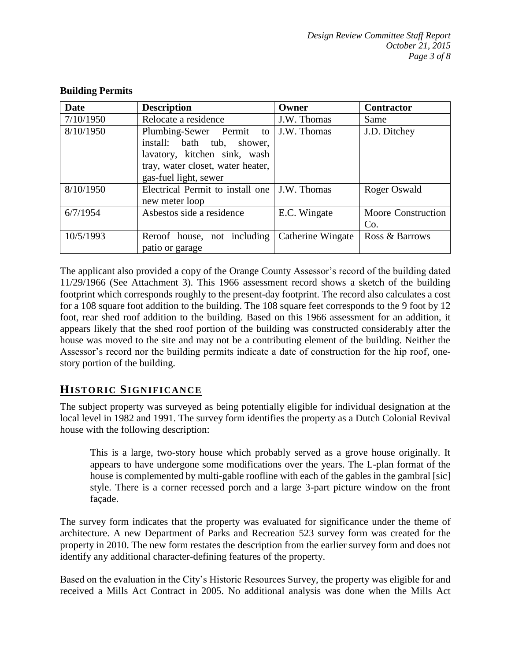| <b>Date</b> | <b>Description</b>                                                                                                                                               | Owner             | <b>Contractor</b>                |
|-------------|------------------------------------------------------------------------------------------------------------------------------------------------------------------|-------------------|----------------------------------|
| 7/10/1950   | Relocate a residence                                                                                                                                             | J.W. Thomas       | Same                             |
| 8/10/1950   | Plumbing-Sewer Permit to J.W. Thomas<br>install: bath tub, shower,<br>lavatory, kitchen sink, wash<br>tray, water closet, water heater,<br>gas-fuel light, sewer |                   | J.D. Ditchey                     |
| 8/10/1950   | Electrical Permit to install one   J.W. Thomas<br>new meter loop                                                                                                 |                   | Roger Oswald                     |
| 6/7/1954    | Asbestos side a residence                                                                                                                                        | E.C. Wingate      | <b>Moore Construction</b><br>Co. |
| 10/5/1993   | Reroof house, not including<br>patio or garage                                                                                                                   | Catherine Wingate | Ross & Barrows                   |

#### **Building Permits**

The applicant also provided a copy of the Orange County Assessor's record of the building dated 11/29/1966 (See Attachment 3). This 1966 assessment record shows a sketch of the building footprint which corresponds roughly to the present-day footprint. The record also calculates a cost for a 108 square foot addition to the building. The 108 square feet corresponds to the 9 foot by 12 foot, rear shed roof addition to the building. Based on this 1966 assessment for an addition, it appears likely that the shed roof portion of the building was constructed considerably after the house was moved to the site and may not be a contributing element of the building. Neither the Assessor's record nor the building permits indicate a date of construction for the hip roof, onestory portion of the building.

# **HISTORIC SIGNIFICANCE**

The subject property was surveyed as being potentially eligible for individual designation at the local level in 1982 and 1991. The survey form identifies the property as a Dutch Colonial Revival house with the following description:

This is a large, two-story house which probably served as a grove house originally. It appears to have undergone some modifications over the years. The L-plan format of the house is complemented by multi-gable roofline with each of the gables in the gambral [sic] style. There is a corner recessed porch and a large 3-part picture window on the front façade.

The survey form indicates that the property was evaluated for significance under the theme of architecture. A new Department of Parks and Recreation 523 survey form was created for the property in 2010. The new form restates the description from the earlier survey form and does not identify any additional character-defining features of the property.

Based on the evaluation in the City's Historic Resources Survey, the property was eligible for and received a Mills Act Contract in 2005. No additional analysis was done when the Mills Act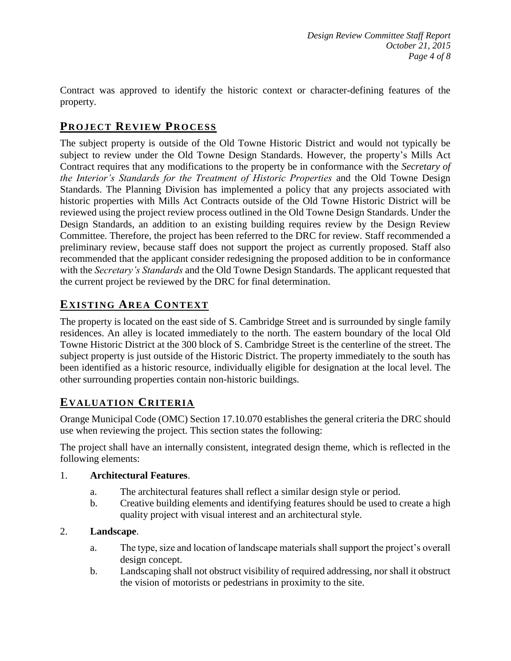Contract was approved to identify the historic context or character-defining features of the property.

# **PROJECT REVIEW PROCESS**

The subject property is outside of the Old Towne Historic District and would not typically be subject to review under the Old Towne Design Standards. However, the property's Mills Act Contract requires that any modifications to the property be in conformance with the *Secretary of the Interior's Standards for the Treatment of Historic Properties* and the Old Towne Design Standards. The Planning Division has implemented a policy that any projects associated with historic properties with Mills Act Contracts outside of the Old Towne Historic District will be reviewed using the project review process outlined in the Old Towne Design Standards. Under the Design Standards, an addition to an existing building requires review by the Design Review Committee. Therefore, the project has been referred to the DRC for review. Staff recommended a preliminary review, because staff does not support the project as currently proposed. Staff also recommended that the applicant consider redesigning the proposed addition to be in conformance with the *Secretary's Standards* and the Old Towne Design Standards. The applicant requested that the current project be reviewed by the DRC for final determination.

# **EXISTING AREA CONTEXT**

The property is located on the east side of S. Cambridge Street and is surrounded by single family residences. An alley is located immediately to the north. The eastern boundary of the local Old Towne Historic District at the 300 block of S. Cambridge Street is the centerline of the street. The subject property is just outside of the Historic District. The property immediately to the south has been identified as a historic resource, individually eligible for designation at the local level. The other surrounding properties contain non-historic buildings.

# **EVALUATION CRITERIA**

Orange Municipal Code (OMC) Section 17.10.070 establishes the general criteria the DRC should use when reviewing the project. This section states the following:

The project shall have an internally consistent, integrated design theme, which is reflected in the following elements:

#### 1. **Architectural Features**.

- a. The architectural features shall reflect a similar design style or period.
- b. Creative building elements and identifying features should be used to create a high quality project with visual interest and an architectural style.

#### 2. **Landscape**.

- a. The type, size and location of landscape materials shall support the project's overall design concept.
- b. Landscaping shall not obstruct visibility of required addressing, nor shall it obstruct the vision of motorists or pedestrians in proximity to the site.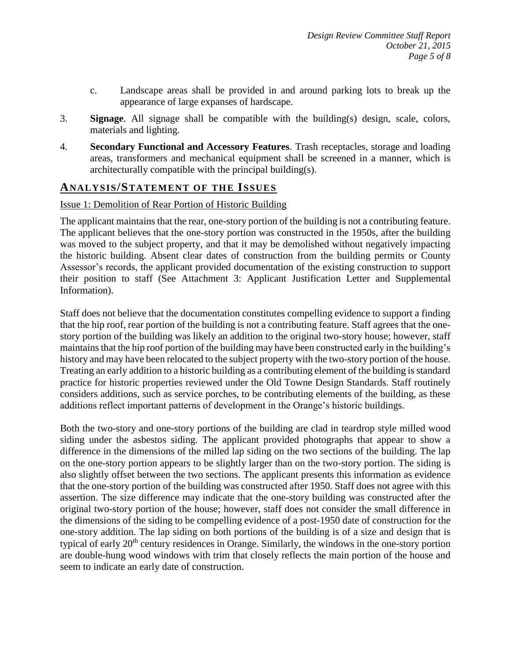- c. Landscape areas shall be provided in and around parking lots to break up the appearance of large expanses of hardscape.
- 3. **Signage**. All signage shall be compatible with the building(s) design, scale, colors, materials and lighting.
- 4. **Secondary Functional and Accessory Features**. Trash receptacles, storage and loading areas, transformers and mechanical equipment shall be screened in a manner, which is architecturally compatible with the principal building(s).

## **ANALY SIS/STATEMENT OF THE ISSUES**

#### Issue 1: Demolition of Rear Portion of Historic Building

The applicant maintains that the rear, one-story portion of the building is not a contributing feature. The applicant believes that the one-story portion was constructed in the 1950s, after the building was moved to the subject property, and that it may be demolished without negatively impacting the historic building. Absent clear dates of construction from the building permits or County Assessor's records, the applicant provided documentation of the existing construction to support their position to staff (See Attachment 3: Applicant Justification Letter and Supplemental Information).

Staff does not believe that the documentation constitutes compelling evidence to support a finding that the hip roof, rear portion of the building is not a contributing feature. Staff agrees that the onestory portion of the building was likely an addition to the original two-story house; however, staff maintains that the hip roof portion of the building may have been constructed early in the building's history and may have been relocated to the subject property with the two-story portion of the house. Treating an early addition to a historic building as a contributing element of the building is standard practice for historic properties reviewed under the Old Towne Design Standards. Staff routinely considers additions, such as service porches, to be contributing elements of the building, as these additions reflect important patterns of development in the Orange's historic buildings.

Both the two-story and one-story portions of the building are clad in teardrop style milled wood siding under the asbestos siding. The applicant provided photographs that appear to show a difference in the dimensions of the milled lap siding on the two sections of the building. The lap on the one-story portion appears to be slightly larger than on the two-story portion. The siding is also slightly offset between the two sections. The applicant presents this information as evidence that the one-story portion of the building was constructed after 1950. Staff does not agree with this assertion. The size difference may indicate that the one-story building was constructed after the original two-story portion of the house; however, staff does not consider the small difference in the dimensions of the siding to be compelling evidence of a post-1950 date of construction for the one-story addition. The lap siding on both portions of the building is of a size and design that is typical of early 20<sup>th</sup> century residences in Orange. Similarly, the windows in the one-story portion are double-hung wood windows with trim that closely reflects the main portion of the house and seem to indicate an early date of construction.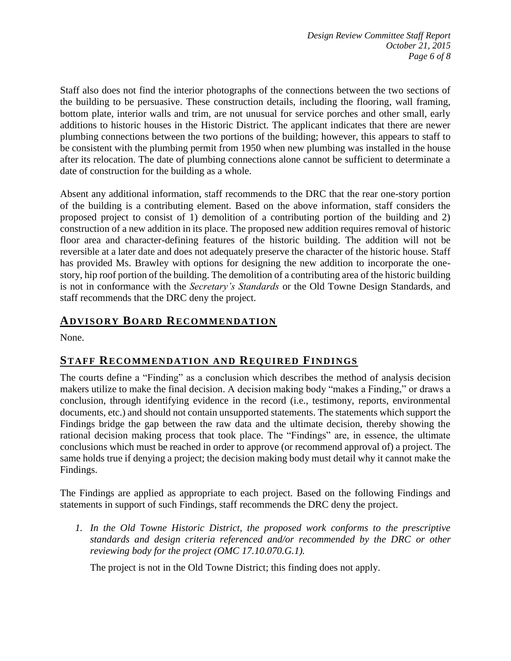Staff also does not find the interior photographs of the connections between the two sections of the building to be persuasive. These construction details, including the flooring, wall framing, bottom plate, interior walls and trim, are not unusual for service porches and other small, early additions to historic houses in the Historic District. The applicant indicates that there are newer plumbing connections between the two portions of the building; however, this appears to staff to be consistent with the plumbing permit from 1950 when new plumbing was installed in the house after its relocation. The date of plumbing connections alone cannot be sufficient to determinate a date of construction for the building as a whole.

Absent any additional information, staff recommends to the DRC that the rear one-story portion of the building is a contributing element. Based on the above information, staff considers the proposed project to consist of 1) demolition of a contributing portion of the building and 2) construction of a new addition in its place. The proposed new addition requires removal of historic floor area and character-defining features of the historic building. The addition will not be reversible at a later date and does not adequately preserve the character of the historic house. Staff has provided Ms. Brawley with options for designing the new addition to incorporate the onestory, hip roof portion of the building. The demolition of a contributing area of the historic building is not in conformance with the *Secretary's Standards* or the Old Towne Design Standards, and staff recommends that the DRC deny the project.

## **ADVISORY BOARD RECOMMENDATION**

None.

# **STAFF RECOMMENDATION AND REQUIRED FINDINGS**

The courts define a "Finding" as a conclusion which describes the method of analysis decision makers utilize to make the final decision. A decision making body "makes a Finding," or draws a conclusion, through identifying evidence in the record (i.e., testimony, reports, environmental documents, etc.) and should not contain unsupported statements. The statements which support the Findings bridge the gap between the raw data and the ultimate decision, thereby showing the rational decision making process that took place. The "Findings" are, in essence, the ultimate conclusions which must be reached in order to approve (or recommend approval of) a project. The same holds true if denying a project; the decision making body must detail why it cannot make the Findings.

The Findings are applied as appropriate to each project. Based on the following Findings and statements in support of such Findings, staff recommends the DRC deny the project.

*1. In the Old Towne Historic District, the proposed work conforms to the prescriptive standards and design criteria referenced and/or recommended by the DRC or other reviewing body for the project (OMC 17.10.070.G.1).*

The project is not in the Old Towne District; this finding does not apply.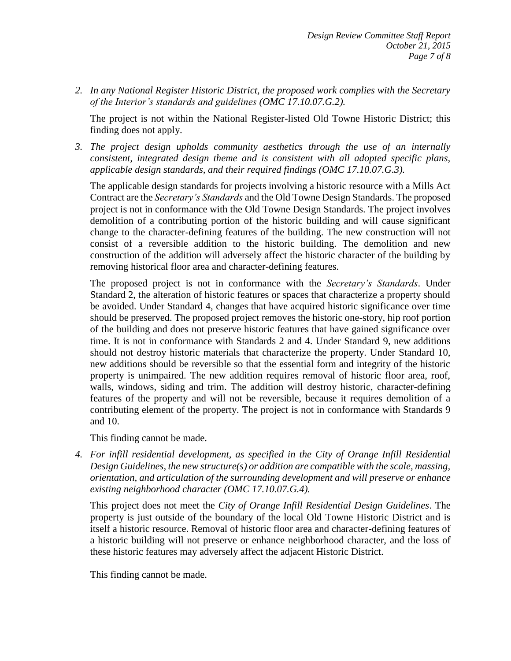*2. In any National Register Historic District, the proposed work complies with the Secretary of the Interior's standards and guidelines (OMC 17.10.07.G.2).*

The project is not within the National Register-listed Old Towne Historic District; this finding does not apply.

*3. The project design upholds community aesthetics through the use of an internally consistent, integrated design theme and is consistent with all adopted specific plans, applicable design standards, and their required findings (OMC 17.10.07.G.3).*

The applicable design standards for projects involving a historic resource with a Mills Act Contract are the *Secretary's Standards* and the Old Towne Design Standards. The proposed project is not in conformance with the Old Towne Design Standards. The project involves demolition of a contributing portion of the historic building and will cause significant change to the character-defining features of the building. The new construction will not consist of a reversible addition to the historic building. The demolition and new construction of the addition will adversely affect the historic character of the building by removing historical floor area and character-defining features.

The proposed project is not in conformance with the *Secretary's Standards*. Under Standard 2, the alteration of historic features or spaces that characterize a property should be avoided. Under Standard 4, changes that have acquired historic significance over time should be preserved. The proposed project removes the historic one-story, hip roof portion of the building and does not preserve historic features that have gained significance over time. It is not in conformance with Standards 2 and 4. Under Standard 9, new additions should not destroy historic materials that characterize the property. Under Standard 10, new additions should be reversible so that the essential form and integrity of the historic property is unimpaired. The new addition requires removal of historic floor area, roof, walls, windows, siding and trim. The addition will destroy historic, character-defining features of the property and will not be reversible, because it requires demolition of a contributing element of the property. The project is not in conformance with Standards 9 and 10.

This finding cannot be made.

*4. For infill residential development, as specified in the City of Orange Infill Residential Design Guidelines, the new structure(s) or addition are compatible with the scale, massing, orientation, and articulation of the surrounding development and will preserve or enhance existing neighborhood character (OMC 17.10.07.G.4).*

This project does not meet the *City of Orange Infill Residential Design Guidelines*. The property is just outside of the boundary of the local Old Towne Historic District and is itself a historic resource. Removal of historic floor area and character-defining features of a historic building will not preserve or enhance neighborhood character, and the loss of these historic features may adversely affect the adjacent Historic District.

This finding cannot be made.